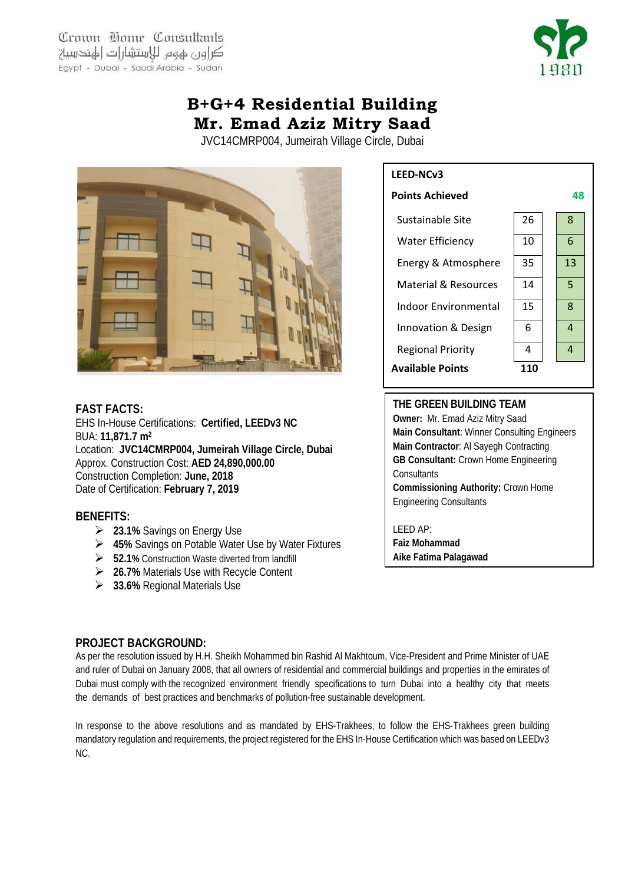Crown Home Consultants كراون لهوم للاستشارات الهندسية Egypt - Dubai - Saudi Arabia - Sudan



# **B+G+4 Residential Building Mr. Emad Aziz Mitry Saad**

JVC14CMRP004, Jumeirah Village Circle, Dubai



#### **FAST FACTS:**

EHS In-House Certifications: **Certified, LEEDv3 NC**  BUA: **11,871.7 m2** Location: **JVC14CMRP004, Jumeirah Village Circle, Dubai** Approx. Construction Cost: **AED 24,890,000.00** Construction Completion: **June, 2018** Date of Certification: **February 7, 2019**

# **BENEFITS:**

- **23.1%** Savings on Energy Use
- **45%** Savings on Potable Water Use by Water Fixtures
- **52.1%** Construction Waste diverted from landfill
- **26.7%** Materials Use with Recycle Content
- **33.6%** Regional Materials Use

# **LEED-NCv3**



## **THE GREEN BUILDING TEAM**

**Owner:** Mr. Emad Aziz Mitry Saad **Main Consultant**: Winner Consulting Engineers **Main Contractor**: Al Sayegh Contracting **GB Consultant:** Crown Home Engineering **Consultants Commissioning Authority:** Crown Home Engineering Consultants

LEED AP: **Faiz Mohammad Aike Fatima Palagawad**

# **PROJECT BACKGROUND:**

As per the resolution issued by H.H. Sheikh Mohammed bin Rashid Al Makhtoum, Vice-President and Prime Minister of UAE and ruler of Dubai on January 2008, that all owners of residential and commercial buildings and properties in the emirates of Dubai must comply with the recognized environment friendly specifications to turn Dubai into a healthy city that meets the demands of best practices and benchmarks of pollution-free sustainable development.

In response to the above resolutions and as mandated by EHS-Trakhees, to follow the EHS-Trakhees green building mandatory regulation and requirements, the project registered for the EHS In-House Certification which was based on LEEDv3 NC.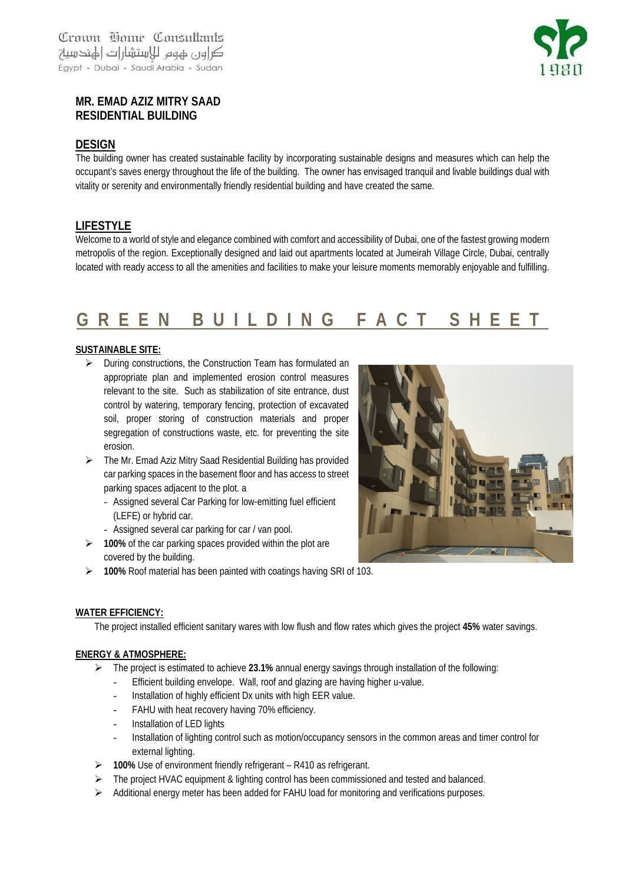

# **MR. EMAD AZIZ MITRY SAAD RESIDENTIAL BUILDING**

#### **DESIGN**

The building owner has created sustainable facility by incorporating sustainable designs and measures which can help the occupant's saves energy throughout the life of the building. The owner has envisaged tranquil and livable buildings dual with vitality or serenity and environmentally friendly residential building and have created the same.

## **LIFESTYLE**

Welcome to a world of style and elegance combined with comfort and accessibility of Dubai, one of the fastest growing modern metropolis of the region. Exceptionally designed and laid out apartments located at Jumeirah Village Circle, Dubai, centrally located with ready access to all the amenities and facilities to make your leisure moments memorably enjoyable and fulfilling.

# **GREEN BUILDING FACT SHEET**

#### **SUSTAINABLE SITE:**

- $\triangleright$  During constructions, the Construction Team has formulated an appropriate plan and implemented erosion control measures relevant to the site. Such as stabilization of site entrance, dust control by watering, temporary fencing, protection of excavated soil, proper storing of construction materials and proper segregation of constructions waste, etc. for preventing the site erosion.
- The Mr. Emad Aziz Mitry Saad Residential Building has provided car parking spaces in the basement floor and has access to street parking spaces adjacent to the plot. a
	- Assigned several Car Parking for low-emitting fuel efficient (LEFE) or hybrid car.
	- Assigned several car parking for car / van pool.
- **100%** of the car parking spaces provided within the plot are covered by the building.
- **100%** Roof material has been painted with coatings having SRI of 103.

#### **WATER EFFICIENCY:**

The project installed efficient sanitary wares with low flush and flow rates which gives the project **45%** water savings.

#### **ENERGY & ATMOSPHERE:**

- The project is estimated to achieve **23.1%** annual energy savings through installation of the following:
	- Efficient building envelope. Wall, roof and glazing are having higher u-value.
	- Installation of highly efficient Dx units with high EER value.
	- FAHU with heat recovery having 70% efficiency.
	- Installation of LED lights
	- Installation of lighting control such as motion/occupancy sensors in the common areas and timer control for external lighting.
- **100%** Use of environment friendly refrigerant R410 as refrigerant.
- $\triangleright$  The project HVAC equipment & lighting control has been commissioned and tested and balanced.
- $\triangleright$  Additional energy meter has been added for FAHU load for monitoring and verifications purposes.